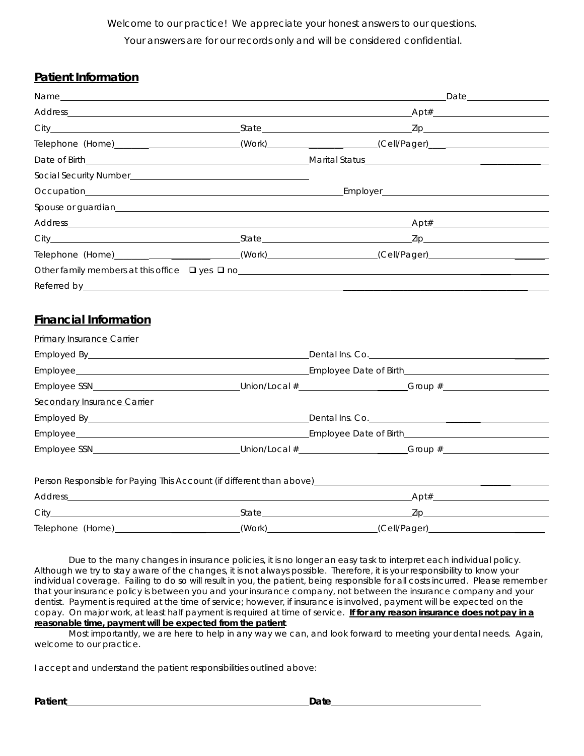*Welcome to our practice! We appreciate your honest answers to our questions. Your answers are for our records only and will be considered confidential.* 

### **Patient Information**

|                                                                                                                                                                                                                                |  | Telephone (Home)____________________________(Work)_______________________(Cell/Pager)_________________________ |  |  |
|--------------------------------------------------------------------------------------------------------------------------------------------------------------------------------------------------------------------------------|--|----------------------------------------------------------------------------------------------------------------|--|--|
|                                                                                                                                                                                                                                |  |                                                                                                                |  |  |
| Social Security Number<br><u>Land and annual security Number</u>                                                                                                                                                               |  |                                                                                                                |  |  |
|                                                                                                                                                                                                                                |  |                                                                                                                |  |  |
|                                                                                                                                                                                                                                |  |                                                                                                                |  |  |
|                                                                                                                                                                                                                                |  |                                                                                                                |  |  |
|                                                                                                                                                                                                                                |  |                                                                                                                |  |  |
|                                                                                                                                                                                                                                |  | Telephone (Home)___________________________(Work)_________________(Cell/Pager)_____________________            |  |  |
|                                                                                                                                                                                                                                |  |                                                                                                                |  |  |
| Referred by the contract of the contract of the contract of the contract of the contract of the contract of the contract of the contract of the contract of the contract of the contract of the contract of the contract of th |  |                                                                                                                |  |  |

# **Financial Information**

| <b>Primary Insurance Carrier</b>   |                                                                                                                                                                                                                               |  |
|------------------------------------|-------------------------------------------------------------------------------------------------------------------------------------------------------------------------------------------------------------------------------|--|
|                                    |                                                                                                                                                                                                                               |  |
|                                    |                                                                                                                                                                                                                               |  |
|                                    |                                                                                                                                                                                                                               |  |
| <b>Secondary Insurance Carrier</b> |                                                                                                                                                                                                                               |  |
|                                    |                                                                                                                                                                                                                               |  |
|                                    |                                                                                                                                                                                                                               |  |
|                                    |                                                                                                                                                                                                                               |  |
|                                    | Person Responsible for Paying This Account (if different than above) [19] Derson Responsible for Paying This Account (if different than above) [19] Derson Responsible for Paying This Account (if different than above) [19] |  |
|                                    |                                                                                                                                                                                                                               |  |
|                                    |                                                                                                                                                                                                                               |  |
|                                    | Telephone (Home) _________________________(Work)___________________(Cell/Pager)____________________                                                                                                                           |  |

Due to the many changes in insurance policies, it is no longer an easy task to interpret each individual policy. Although we try to stay aware of the changes, it is not always possible. Therefore, it is your responsibility to know your individual coverage. Failing to do so will result in you, the patient, being responsible for all costs incurred. Please remember that your insurance policy is between you and your insurance company, not between the insurance company and your dentist. Payment is required at the time of service; however, if insurance is involved, payment will be expected on the copay. On major work, at least half payment is required at time of service. **If for any reason insurance does not pay in a reasonable time, payment will be expected from the patient**.

Most importantly, we are here to help in any way we can, and look forward to meeting your dental needs. Again, welcome to our practice.

I accept and understand the patient responsibilities outlined above: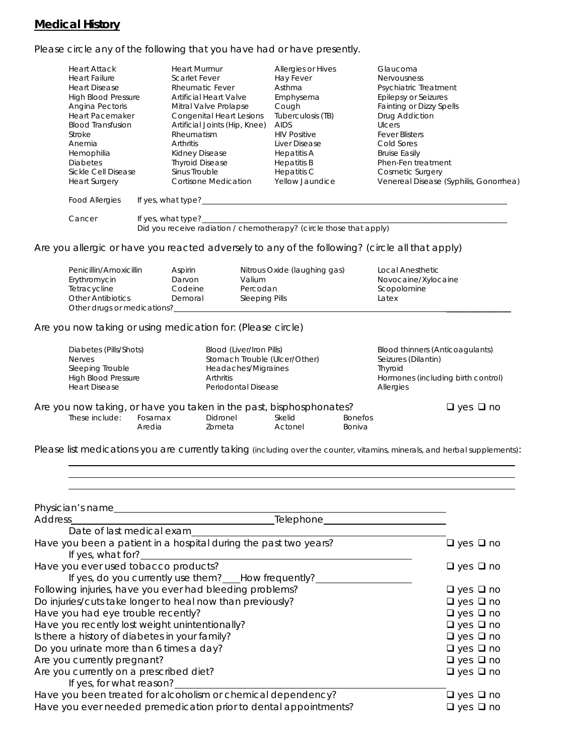## **Medical History**

Please circle any of the following that you have had or have presently.

| <b>Heart Attack</b><br><b>Heart Failure</b><br><b>Heart Disease</b><br><b>High Blood Pressure</b><br>Angina Pectoris<br><b>Heart Pacemaker</b><br><b>Blood Transfusion</b><br>Stroke<br>Anemia<br>Hemophilia<br><b>Diabetes</b><br>Sickle Cell Disease<br><b>Heart Surgery</b> | <b>Heart Murmur</b><br><b>Scarlet Fever</b><br><b>Rheumatic Fever</b><br>Artificial Heart Valve<br>Mitral Valve Prolapse<br><b>Congenital Heart Lesions</b><br>Artificial Joints (Hip, Knee)<br>Rheumatism<br><b>Arthritis</b><br>Kidney Disease<br><b>Thyroid Disease</b><br>Sinus Trouble<br><b>Cortisone Medication</b> |                                                                                                         | Allergies or Hives<br>Hay Fever<br>Asthma<br>Emphysema<br>Cough<br>Tuberculosis (TB)<br><b>AIDS</b><br><b>HIV Positive</b><br>Liver Disease<br><b>Hepatitis A</b><br><b>Hepatitis B</b><br>Hepatitis C<br>Yellow Jaundice | Glaucoma<br><b>Nervousness</b><br>Psychiatric Treatment<br><b>Epilepsy or Seizures</b><br><b>Fainting or Dizzy Spells</b><br>Drug Addiction<br>Ulcers<br><b>Fever Blisters</b><br>Cold Sores<br><b>Bruise Easily</b><br>Phen-Fen treatment<br><b>Cosmetic Surgery</b><br>Venereal Disease (Syphilis, Gonorrhea) |
|--------------------------------------------------------------------------------------------------------------------------------------------------------------------------------------------------------------------------------------------------------------------------------|----------------------------------------------------------------------------------------------------------------------------------------------------------------------------------------------------------------------------------------------------------------------------------------------------------------------------|---------------------------------------------------------------------------------------------------------|---------------------------------------------------------------------------------------------------------------------------------------------------------------------------------------------------------------------------|-----------------------------------------------------------------------------------------------------------------------------------------------------------------------------------------------------------------------------------------------------------------------------------------------------------------|
| <b>Food Allergies</b>                                                                                                                                                                                                                                                          |                                                                                                                                                                                                                                                                                                                            |                                                                                                         | If yes, what type?                                                                                                                                                                                                        |                                                                                                                                                                                                                                                                                                                 |
| Cancer                                                                                                                                                                                                                                                                         | If yes, what type?_                                                                                                                                                                                                                                                                                                        |                                                                                                         | Did you receive radiation / chemotherapy? (circle those that apply)                                                                                                                                                       | Are you allergic or have you reacted adversely to any of the following? (circle all that apply)                                                                                                                                                                                                                 |
| Penicillin/Amoxicillin<br>Erythromycin<br>Tetracycline<br><b>Other Antibiotics</b><br>Other drugs or medications?                                                                                                                                                              | Aspirin<br>Darvon<br>Codeine<br>Demoral                                                                                                                                                                                                                                                                                    | Valium<br>Percodan<br>Sleeping Pills                                                                    | Nitrous Oxide (laughing gas)                                                                                                                                                                                              | Local Anesthetic<br>Novocaine/Xylocaine<br>Scopolomine<br>Latex                                                                                                                                                                                                                                                 |
| Are you now taking or using medication for: (Please circle)                                                                                                                                                                                                                    |                                                                                                                                                                                                                                                                                                                            |                                                                                                         |                                                                                                                                                                                                                           |                                                                                                                                                                                                                                                                                                                 |
| Diabetes (Pills/Shots)<br><b>Nerves</b><br>Sleeping Trouble<br><b>High Blood Pressure</b><br><b>Heart Disease</b>                                                                                                                                                              | Arthritis                                                                                                                                                                                                                                                                                                                  | Blood (Liver/Iron Pills)<br>Stomach Trouble (Ulcer/Other)<br>Headaches/Migraines<br>Periodontal Disease |                                                                                                                                                                                                                           | Blood thinners (Anticoagulants)<br>Seizures (Dilantin)<br>Thyroid<br>Hormones (including birth control)<br>Allergies                                                                                                                                                                                            |

| Are you now taking, or have you taken in the past, bisphosphonates? |         |          |         |                | $\Box$ yes $\Box$ no |
|---------------------------------------------------------------------|---------|----------|---------|----------------|----------------------|
| These include:                                                      | Fosamax | Didronel | Skelid  | <b>Bonefos</b> |                      |
|                                                                     | Aredia  | Zometa   | Actonel | <b>Boniva</b>  |                      |

Please list medications you are currently taking (including over the counter, vitamins, minerals, and herbal supplements):

| Physician's name<br>Address<br>Telephone_                                                        |                      |
|--------------------------------------------------------------------------------------------------|----------------------|
| Date of last medical exam                                                                        |                      |
| Have you been a patient in a hospital during the past two years?<br>If yes, what for? $\sqrt{2}$ | $\Box$ yes $\Box$ no |
| Have you ever used tobacco products?<br>If yes, do you currently use them? How frequently?       | $\Box$ yes $\Box$ no |
| Following injuries, have you ever had bleeding problems?                                         | $\Box$ yes $\Box$ no |
| Do injuries/cuts take longer to heal now than previously?                                        | $\Box$ yes $\Box$ no |
| Have you had eye trouble recently?                                                               | $\Box$ yes $\Box$ no |
| Have you recently lost weight unintentionally?                                                   | $\Box$ yes $\Box$ no |
| Is there a history of diabetes in your family?                                                   | $\Box$ yes $\Box$ no |
| Do you urinate more than 6 times a day?                                                          | $\Box$ yes $\Box$ no |
| Are you currently pregnant?                                                                      | $\Box$ yes $\Box$ no |
| Are you currently on a prescribed diet?<br>If yes, for what reason?                              | $\Box$ yes $\Box$ no |
| Have you been treated for alcoholism or chemical dependency?                                     | $\Box$ yes $\Box$ no |
| Have you ever needed premedication prior to dental appointments?                                 | $\Box$ yes $\Box$ no |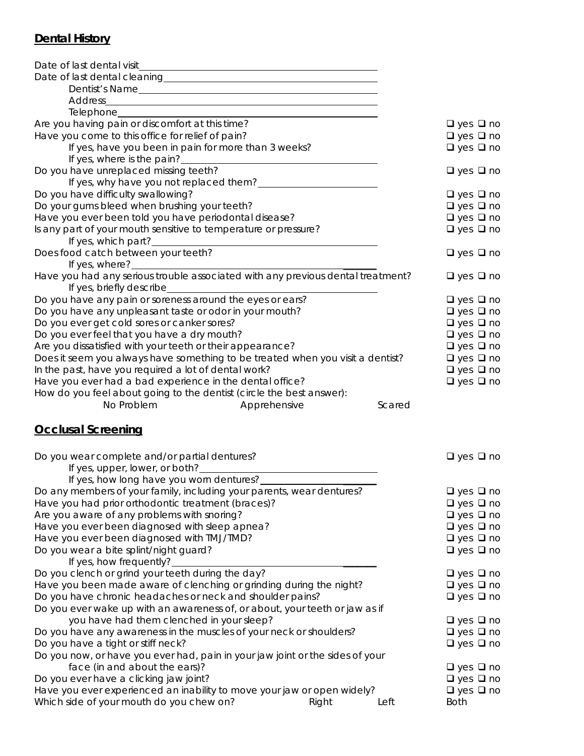### **Dental History**

| Date of last dental visit                                                                                                      |                      |
|--------------------------------------------------------------------------------------------------------------------------------|----------------------|
|                                                                                                                                |                      |
| Dentist's Name                                                                                                                 |                      |
| Address<br><u> 1989 - Johann Barn, mars eta bainar eta baina eta baina eta baina eta baina eta baina eta baina eta baina e</u> |                      |
|                                                                                                                                |                      |
| Are you having pain or discomfort at this time?                                                                                | $\Box$ yes $\Box$ no |
| Have you come to this office for relief of pain?                                                                               | $\Box$ yes $\Box$ no |
| If yes, have you been in pain for more than 3 weeks?                                                                           | $\Box$ yes $\Box$ no |
| If yes, where is the pain?                                                                                                     |                      |
| Do you have unreplaced missing teeth?                                                                                          | $\Box$ yes $\Box$ no |
| If yes, why have you not replaced them?                                                                                        |                      |
| Do you have difficulty swallowing?                                                                                             | $\Box$ yes $\Box$ no |
| Do your gums bleed when brushing your teeth?                                                                                   | $\Box$ yes $\Box$ no |
| Have you ever been told you have periodontal disease?                                                                          | $\Box$ yes $\Box$ no |
| Is any part of your mouth sensitive to temperature or pressure?                                                                | $\Box$ yes $\Box$ no |
| If yes, which part?                                                                                                            |                      |
| Does food catch between your teeth?                                                                                            | $\Box$ yes $\Box$ no |
| If yes, where?                                                                                                                 |                      |
| Have you had any serious trouble associated with any previous dental treatment?                                                | $\Box$ yes $\Box$ no |
| If yes, briefly describe_                                                                                                      |                      |
| Do you have any pain or soreness around the eyes or ears?                                                                      | $\Box$ yes $\Box$ no |
| Do you have any unpleasant taste or odor in your mouth?                                                                        | $\Box$ yes $\Box$ no |
| Do you ever get cold sores or canker sores?                                                                                    | $\Box$ yes $\Box$ no |
| Do you ever feel that you have a dry mouth?                                                                                    | $\Box$ yes $\Box$ no |
| Are you dissatisfied with your teeth or their appearance?                                                                      | $\Box$ yes $\Box$ no |
| Does it seem you always have something to be treated when you visit a dentist?                                                 | $\Box$ yes $\Box$ no |
| In the past, have you required a lot of dental work?                                                                           | $\Box$ yes $\Box$ no |
| Have you ever had a bad experience in the dental office?                                                                       | $\Box$ yes $\Box$ no |
| How do you feel about going to the dentist (circle the best answer):                                                           |                      |
| No Problem<br>Apprehensive<br>Scared                                                                                           |                      |
| <b>Occlusal Screening</b>                                                                                                      |                      |
| Do you wear complete and/or partial dentures?                                                                                  | $\Box$ yes $\Box$ no |
| If yes, upper, lower, or both?                                                                                                 |                      |
| If yes, how long have you worn dentures?                                                                                       |                      |
| Do any members of your family, including your parents, wear dentures?                                                          | $\Box$ yes $\Box$ no |
| Have you had prior orthodontic treatment (braces)?                                                                             | $\Box$ yes $\Box$ no |
| Are you aware of any problems with snoring?                                                                                    | $\Box$ yes $\Box$ no |
| Have you ever been diagnosed with sleep apnea?                                                                                 | $\Box$ yes $\Box$ no |
| Have you ever been diagnosed with TMJ/TMD?                                                                                     | $\Box$ yes $\Box$ no |

Do you wear a bite splint/night guard?  $\Box$  yes  $\Box$  no

If yes, how frequently? Do you clench or grind your teeth during the day?  $\Box$  yes  $\Box$  no Have you been made aware of clenching or grinding during the night?  $\square$  yes  $\square$  no Do you have chronic headaches or neck and shoulder pains?  $\Box$  yes  $\Box$  yes  $\Box$  no Do you ever wake up with an awareness of, or about, your teeth or jaw as if you have had them clenched in your sleep?  $\Box$  yes  $\Box$  yes  $\Box$  no Do you have any awareness in the muscles of your neck or shoulders?  $\Box$  yes  $\Box$  no Do you have a tight or stiff neck?  $\Box$  yes  $\Box$  no Do you now, or have you ever had, pain in your jaw joint or the sides of your face (in and about the ears)?  $\Box$  yes  $\Box$  no Do you ever have a clicking jaw joint?  $\Box$  yes  $\Box$  no Have you ever experienced an inability to move your jaw or open widely?  $\Box$  yes  $\Box$  no Which side of your mouth do you chew on? The Right Left Both